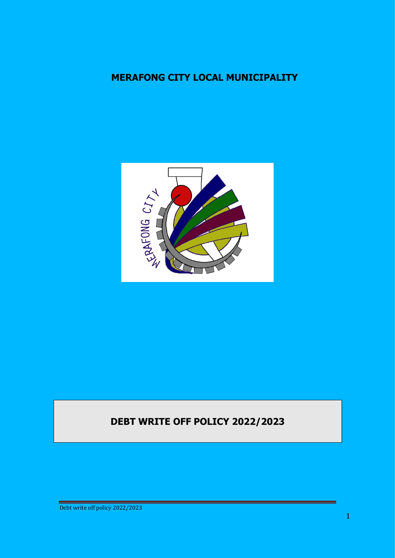## **MERAFONG CITY LOCAL MUNICIPALITY**



# **DEBT WRITE OFF POLICY 2022/2023**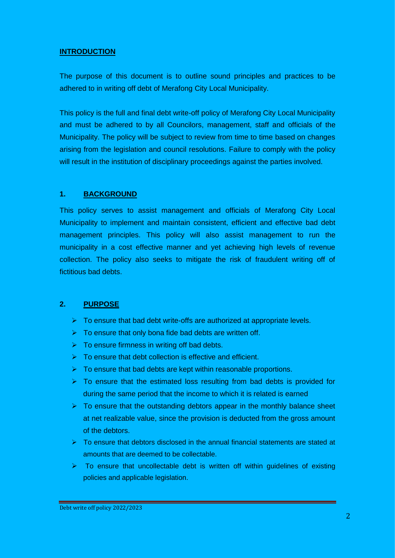#### **INTRODUCTION**

The purpose of this document is to outline sound principles and practices to be adhered to in writing off debt of Merafong City Local Municipality.

This policy is the full and final debt write-off policy of Merafong City Local Municipality and must be adhered to by all Councilors, management, staff and officials of the Municipality. The policy will be subject to review from time to time based on changes arising from the legislation and council resolutions. Failure to comply with the policy will result in the institution of disciplinary proceedings against the parties involved.

#### **1. BACKGROUND**

This policy serves to assist management and officials of Merafong City Local Municipality to implement and maintain consistent, efficient and effective bad debt management principles. This policy will also assist management to run the municipality in a cost effective manner and yet achieving high levels of revenue collection. The policy also seeks to mitigate the risk of fraudulent writing off of fictitious bad debts.

#### **2. PURPOSE**

- $\triangleright$  To ensure that bad debt write-offs are authorized at appropriate levels.
- $\triangleright$  To ensure that only bona fide bad debts are written off.
- $\triangleright$  To ensure firmness in writing off bad debts.
- $\triangleright$  To ensure that debt collection is effective and efficient.
- $\triangleright$  To ensure that bad debts are kept within reasonable proportions.
- $\triangleright$  To ensure that the estimated loss resulting from bad debts is provided for during the same period that the income to which it is related is earned
- $\triangleright$  To ensure that the outstanding debtors appear in the monthly balance sheet at net realizable value, since the provision is deducted from the gross amount of the debtors.
- $\triangleright$  To ensure that debtors disclosed in the annual financial statements are stated at amounts that are deemed to be collectable.
- $\triangleright$  To ensure that uncollectable debt is written off within guidelines of existing policies and applicable legislation.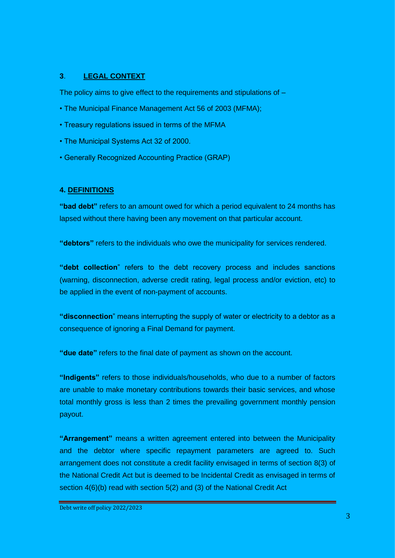#### **3**. **LEGAL CONTEXT**

The policy aims to give effect to the requirements and stipulations of  $-$ 

- The Municipal Finance Management Act 56 of 2003 (MFMA);
- Treasury regulations issued in terms of the MFMA
- The Municipal Systems Act 32 of 2000.
- Generally Recognized Accounting Practice (GRAP)

#### **4. DEFINITIONS**

**"bad debt"** refers to an amount owed for which a period equivalent to 24 months has lapsed without there having been any movement on that particular account.

**"debtors"** refers to the individuals who owe the municipality for services rendered.

**"debt collection**" refers to the debt recovery process and includes sanctions (warning, disconnection, adverse credit rating, legal process and/or eviction, etc) to be applied in the event of non-payment of accounts.

**"disconnection**" means interrupting the supply of water or electricity to a debtor as a consequence of ignoring a Final Demand for payment.

**"due date"** refers to the final date of payment as shown on the account.

**"Indigents"** refers to those individuals/households, who due to a number of factors are unable to make monetary contributions towards their basic services, and whose total monthly gross is less than 2 times the prevailing government monthly pension payout.

**"Arrangement"** means a written agreement entered into between the Municipality and the debtor where specific repayment parameters are agreed to. Such arrangement does not constitute a credit facility envisaged in terms of section 8(3) of the National Credit Act but is deemed to be Incidental Credit as envisaged in terms of section 4(6)(b) read with section 5(2) and (3) of the National Credit Act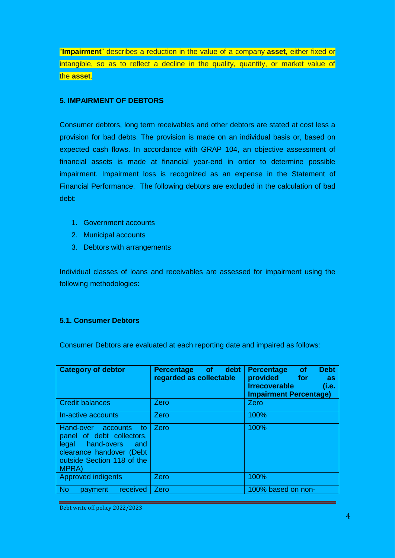"**Impairment**" describes a reduction in the value of a company **asset**, either fixed or intangible, so as to reflect a decline in the quality, quantity, or market value of the **asset**.

#### **5. IMPAIRMENT OF DEBTORS**

Consumer debtors, long term receivables and other debtors are stated at cost less a provision for bad debts. The provision is made on an individual basis or, based on expected cash flows. In accordance with GRAP 104, an objective assessment of financial assets is made at financial year-end in order to determine possible impairment. Impairment loss is recognized as an expense in the Statement of Financial Performance. The following debtors are excluded in the calculation of bad debt:

- 1. Government accounts
- 2. Municipal accounts
- 3. Debtors with arrangements

Individual classes of loans and receivables are assessed for impairment using the following methodologies:

#### **5.1. Consumer Debtors**

Consumer Debtors are evaluated at each reporting date and impaired as follows:

| <b>Category of debtor</b>                                                                                                                                | Percentage of debt<br>regarded as collectable | <b>Debt</b><br><b>of</b><br><b>Percentage</b><br>provided for<br><b>as</b><br><b>Irrecoverable</b><br>(i.e.<br><b>Impairment Percentage)</b> |
|----------------------------------------------------------------------------------------------------------------------------------------------------------|-----------------------------------------------|----------------------------------------------------------------------------------------------------------------------------------------------|
| <b>Credit balances</b>                                                                                                                                   | Zero                                          | Zero                                                                                                                                         |
| In-active accounts                                                                                                                                       | Zero                                          | 100%                                                                                                                                         |
| Hand-over accounts to<br>panel of debt collectors,<br>legal hand-overs<br>and<br>clearance handover (Debt<br>outside Section 118 of the<br><b>MPRA</b> ) | Zero                                          | 100%                                                                                                                                         |
| <b>Approved indigents</b>                                                                                                                                | <b>Zero</b>                                   | 100%                                                                                                                                         |
| <b>No</b><br>received<br>payment                                                                                                                         | Zero                                          | 100% based on non-                                                                                                                           |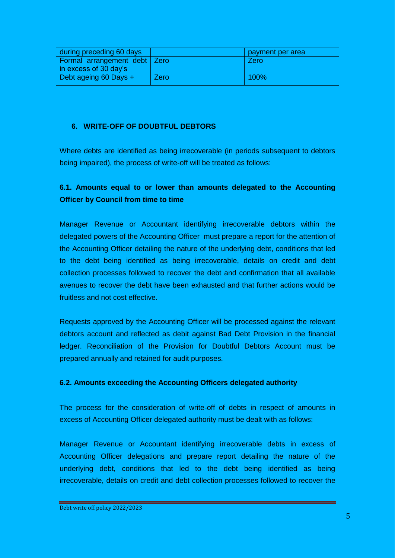| during preceding 60 days                                                   |      | payment per area |
|----------------------------------------------------------------------------|------|------------------|
| <b>Formal arrangement debt Zero</b><br>$\frac{1}{2}$ in excess of 30 day's |      | Zero             |
| Debt ageing 60 Days $+$                                                    | Zero | $100\%$          |

#### **6. WRITE-OFF OF DOUBTFUL DEBTORS**

Where debts are identified as being irrecoverable (in periods subsequent to debtors being impaired), the process of write-off will be treated as follows:

## **6.1. Amounts equal to or lower than amounts delegated to the Accounting Officer by Council from time to time**

Manager Revenue or Accountant identifying irrecoverable debtors within the delegated powers of the Accounting Officer must prepare a report for the attention of the Accounting Officer detailing the nature of the underlying debt, conditions that led to the debt being identified as being irrecoverable, details on credit and debt collection processes followed to recover the debt and confirmation that all available avenues to recover the debt have been exhausted and that further actions would be fruitless and not cost effective.

Requests approved by the Accounting Officer will be processed against the relevant debtors account and reflected as debit against Bad Debt Provision in the financial ledger. Reconciliation of the Provision for Doubtful Debtors Account must be prepared annually and retained for audit purposes.

#### **6.2. Amounts exceeding the Accounting Officers delegated authority**

The process for the consideration of write-off of debts in respect of amounts in excess of Accounting Officer delegated authority must be dealt with as follows:

Manager Revenue or Accountant identifying irrecoverable debts in excess of Accounting Officer delegations and prepare report detailing the nature of the underlying debt, conditions that led to the debt being identified as being irrecoverable, details on credit and debt collection processes followed to recover the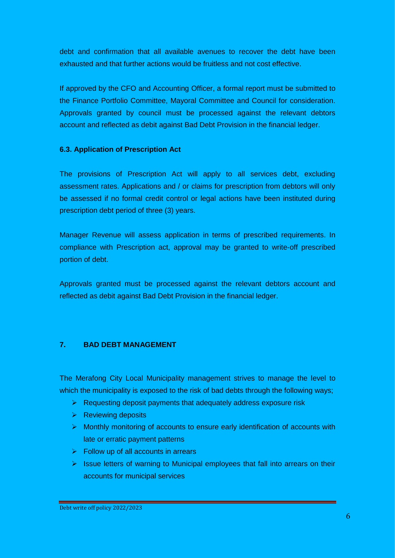debt and confirmation that all available avenues to recover the debt have been exhausted and that further actions would be fruitless and not cost effective.

If approved by the CFO and Accounting Officer, a formal report must be submitted to the Finance Portfolio Committee, Mayoral Committee and Council for consideration. Approvals granted by council must be processed against the relevant debtors account and reflected as debit against Bad Debt Provision in the financial ledger.

#### **6.3. Application of Prescription Act**

The provisions of Prescription Act will apply to all services debt, excluding assessment rates. Applications and / or claims for prescription from debtors will only be assessed if no formal credit control or legal actions have been instituted during prescription debt period of three (3) years.

Manager Revenue will assess application in terms of prescribed requirements. In compliance with Prescription act, approval may be granted to write-off prescribed portion of debt.

Approvals granted must be processed against the relevant debtors account and reflected as debit against Bad Debt Provision in the financial ledger.

#### **7. BAD DEBT MANAGEMENT**

The Merafong City Local Municipality management strives to manage the level to which the municipality is exposed to the risk of bad debts through the following ways;

- $\triangleright$  Requesting deposit payments that adequately address exposure risk
- $\triangleright$  Reviewing deposits
- $\triangleright$  Monthly monitoring of accounts to ensure early identification of accounts with late or erratic payment patterns
- $\triangleright$  Follow up of all accounts in arrears
- $\triangleright$  Issue letters of warning to Municipal employees that fall into arrears on their accounts for municipal services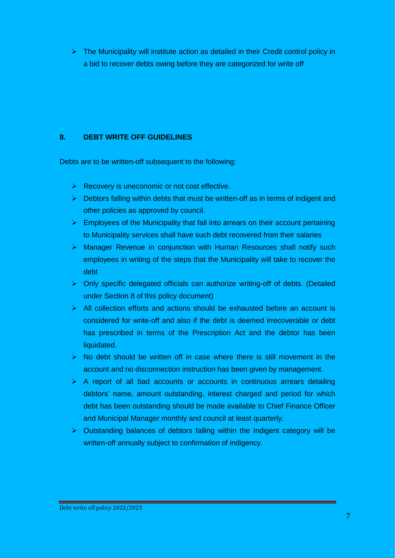$\triangleright$  The Municipality will institute action as detailed in their Credit control policy in a bid to recover debts owing before they are categorized for write off

#### **8. DEBT WRITE OFF GUIDELINES**

Debts are to be written-off subsequent to the following:

- $\triangleright$  Recovery is uneconomic or not cost effective.
- $\triangleright$  Debtors falling within debts that must be written-off as in terms of indigent and other policies as approved by council.
- $\triangleright$  Employees of the Municipality that fall into arrears on their account pertaining to Municipality services shall have such debt recovered from their salaries
- ▶ Manager Revenue in conjunction with Human Resources shall notify such employees in writing of the steps that the Municipality will take to recover the debt
- $\triangleright$  Only specific delegated officials can authorize writing-off of debts. (Detailed under Section 8 of this policy document)
- $\triangleright$  All collection efforts and actions should be exhausted before an account is considered for write-off and also if the debt is deemed irrecoverable or debt has prescribed in terms of the Prescription Act and the debtor has been liquidated.
- $\triangleright$  No debt should be written off in case where there is still movement in the account and no disconnection instruction has been given by management.
- $\triangleright$  A report of all bad accounts or accounts in continuous arrears detailing debtors' name, amount outstanding, interest charged and period for which debt has been outstanding should be made available to Chief Finance Officer and Municipal Manager monthly and council at least quarterly.
- $\triangleright$  Outstanding balances of debtors falling within the Indigent category will be written-off annually subject to confirmation of indigency.